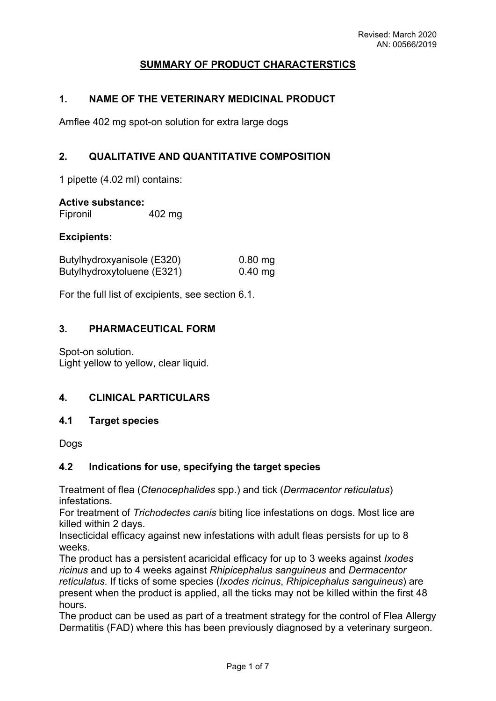# **SUMMARY OF PRODUCT CHARACTERSTICS**

## **1. NAME OF THE VETERINARY MEDICINAL PRODUCT**

Amflee 402 mg spot-on solution for extra large dogs

## **2. QUALITATIVE AND QUANTITATIVE COMPOSITION**

1 pipette (4.02 ml) contains:

#### **Active substance:**

Fipronil 402 mg

### **Excipients:**

| Butylhydroxyanisole (E320) | $0.80$ mg |
|----------------------------|-----------|
| Butylhydroxytoluene (E321) | $0.40$ mg |

For the full list of excipients, see section 6.1.

## **3. PHARMACEUTICAL FORM**

Spot-on solution. Light yellow to yellow, clear liquid.

## **4. CLINICAL PARTICULARS**

## **4.1 Target species**

Dogs

## **4.2 Indications for use, specifying the target species**

Treatment of flea (*Ctenocephalides* spp.) and tick (*Dermacentor reticulatus*) infestations.

For treatment of *Trichodectes canis* biting lice infestations on dogs. Most lice are killed within 2 days.

Insecticidal efficacy against new infestations with adult fleas persists for up to 8 weeks.

The product has a persistent acaricidal efficacy for up to 3 weeks against *Ixodes ricinus* and up to 4 weeks against *Rhipicephalus sanguineus* and *Dermacentor reticulatus*. If ticks of some species (*Ixodes ricinus*, *Rhipicephalus sanguineus*) are present when the product is applied, all the ticks may not be killed within the first 48 hours.

The product can be used as part of a treatment strategy for the control of Flea Allergy Dermatitis (FAD) where this has been previously diagnosed by a veterinary surgeon.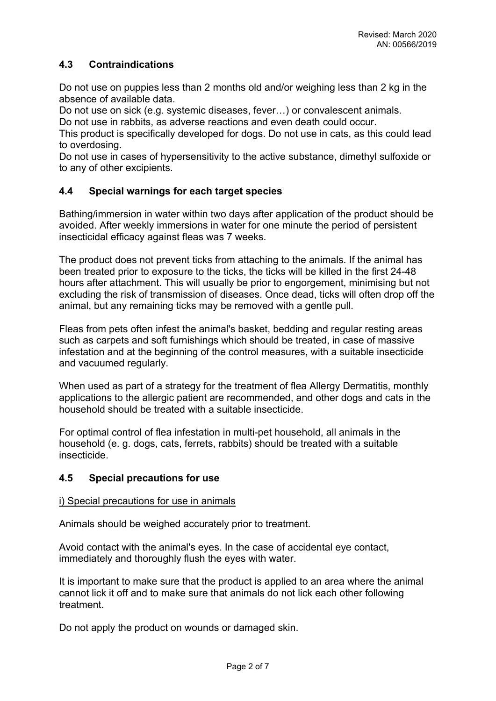# **4.3 Contraindications**

Do not use on puppies less than 2 months old and/or weighing less than 2 kg in the absence of available data.

Do not use on sick (e.g. systemic diseases, fever…) or convalescent animals.

Do not use in rabbits, as adverse reactions and even death could occur.

This product is specifically developed for dogs. Do not use in cats, as this could lead to overdosing.

Do not use in cases of hypersensitivity to the active substance, dimethyl sulfoxide or to any of other excipients.

## **4.4 Special warnings for each target species**

Bathing/immersion in water within two days after application of the product should be avoided. After weekly immersions in water for one minute the period of persistent insecticidal efficacy against fleas was 7 weeks.

The product does not prevent ticks from attaching to the animals. If the animal has been treated prior to exposure to the ticks, the ticks will be killed in the first 24-48 hours after attachment. This will usually be prior to engorgement, minimising but not excluding the risk of transmission of diseases. Once dead, ticks will often drop off the animal, but any remaining ticks may be removed with a gentle pull.

Fleas from pets often infest the animal's basket, bedding and regular resting areas such as carpets and soft furnishings which should be treated, in case of massive infestation and at the beginning of the control measures, with a suitable insecticide and vacuumed regularly.

When used as part of a strategy for the treatment of flea Allergy Dermatitis, monthly applications to the allergic patient are recommended, and other dogs and cats in the household should be treated with a suitable insecticide.

For optimal control of flea infestation in multi-pet household, all animals in the household (e. g. dogs, cats, ferrets, rabbits) should be treated with a suitable insecticide.

## **4.5 Special precautions for use**

#### i) Special precautions for use in animals

Animals should be weighed accurately prior to treatment.

Avoid contact with the animal's eyes. In the case of accidental eye contact, immediately and thoroughly flush the eyes with water.

It is important to make sure that the product is applied to an area where the animal cannot lick it off and to make sure that animals do not lick each other following treatment.

Do not apply the product on wounds or damaged skin.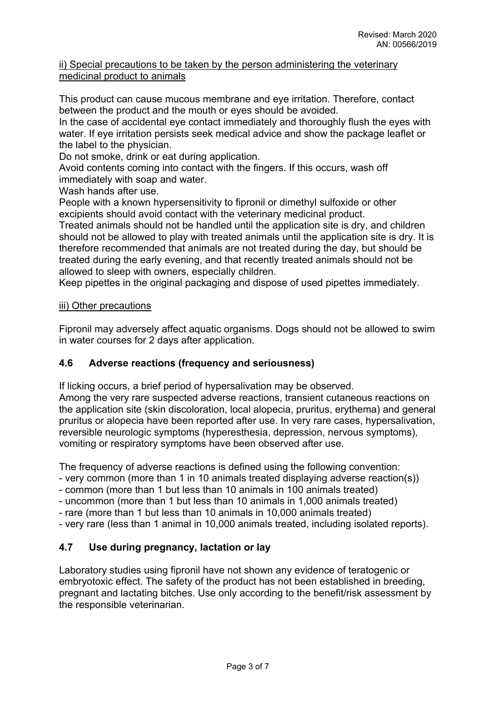### ii) Special precautions to be taken by the person administering the veterinary medicinal product to animals

This product can cause mucous membrane and eye irritation. Therefore, contact between the product and the mouth or eyes should be avoided.

In the case of accidental eye contact immediately and thoroughly flush the eyes with water. If eye irritation persists seek medical advice and show the package leaflet or the label to the physician.

Do not smoke, drink or eat during application.

Avoid contents coming into contact with the fingers. If this occurs, wash off immediately with soap and water.

Wash hands after use.

People with a known hypersensitivity to fipronil or dimethyl sulfoxide or other excipients should avoid contact with the veterinary medicinal product.

Treated animals should not be handled until the application site is dry, and children should not be allowed to play with treated animals until the application site is dry. It is therefore recommended that animals are not treated during the day, but should be treated during the early evening, and that recently treated animals should not be allowed to sleep with owners, especially children.

Keep pipettes in the original packaging and dispose of used pipettes immediately.

## iii) Other precautions

Fipronil may adversely affect aquatic organisms. Dogs should not be allowed to swim in water courses for 2 days after application.

## **4.6 Adverse reactions (frequency and seriousness)**

If licking occurs, a brief period of hypersalivation may be observed.

Among the very rare suspected adverse reactions, transient cutaneous reactions on the application site (skin discoloration, local alopecia, pruritus, erythema) and general pruritus or alopecia have been reported after use. In very rare cases, hypersalivation, reversible neurologic symptoms (hyperesthesia, depression, nervous symptoms), vomiting or respiratory symptoms have been observed after use.

The frequency of adverse reactions is defined using the following convention:

- very common (more than 1 in 10 animals treated displaying adverse reaction(s))
- common (more than 1 but less than 10 animals in 100 animals treated)
- uncommon (more than 1 but less than 10 animals in 1,000 animals treated)
- rare (more than 1 but less than 10 animals in 10,000 animals treated)
- very rare (less than 1 animal in 10,000 animals treated, including isolated reports).

# **4.7 Use during pregnancy, lactation or lay**

Laboratory studies using fipronil have not shown any evidence of teratogenic or embryotoxic effect. The safety of the product has not been established in breeding, pregnant and lactating bitches. Use only according to the benefit/risk assessment by the responsible veterinarian.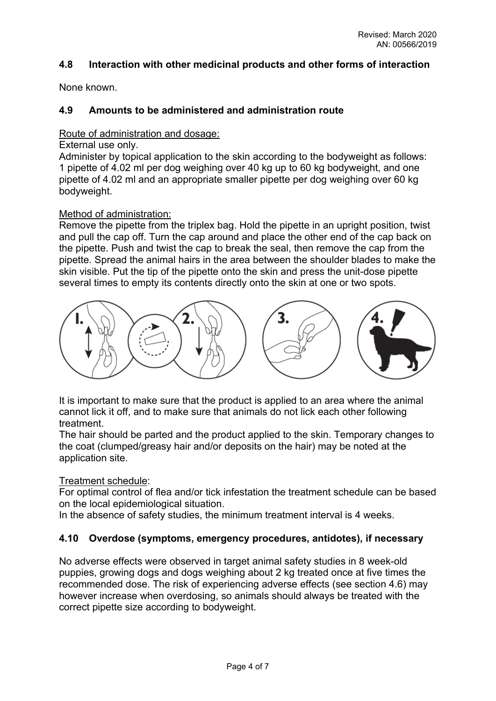## **4.8 Interaction with other medicinal products and other forms of interaction**

None known.

### **4.9 Amounts to be administered and administration route**

#### Route of administration and dosage:

External use only.

Administer by topical application to the skin according to the bodyweight as follows: 1 pipette of 4.02 ml per dog weighing over 40 kg up to 60 kg bodyweight, and one pipette of 4.02 ml and an appropriate smaller pipette per dog weighing over 60 kg bodyweight.

#### Method of administration:

Remove the pipette from the triplex bag. Hold the pipette in an upright position, twist and pull the cap off. Turn the cap around and place the other end of the cap back on the pipette. Push and twist the cap to break the seal, then remove the cap from the pipette. Spread the animal hairs in the area between the shoulder blades to make the skin visible. Put the tip of the pipette onto the skin and press the unit-dose pipette several times to empty its contents directly onto the skin at one or two spots.



It is important to make sure that the product is applied to an area where the animal cannot lick it off, and to make sure that animals do not lick each other following treatment.

The hair should be parted and the product applied to the skin. Temporary changes to the coat (clumped/greasy hair and/or deposits on the hair) may be noted at the application site.

#### Treatment schedule:

For optimal control of flea and/or tick infestation the treatment schedule can be based on the local epidemiological situation.

In the absence of safety studies, the minimum treatment interval is 4 weeks.

#### **4.10 Overdose (symptoms, emergency procedures, antidotes), if necessary**

No adverse effects were observed in target animal safety studies in 8 week-old puppies, growing dogs and dogs weighing about 2 kg treated once at five times the recommended dose. The risk of experiencing adverse effects (see section 4.6) may however increase when overdosing, so animals should always be treated with the correct pipette size according to bodyweight.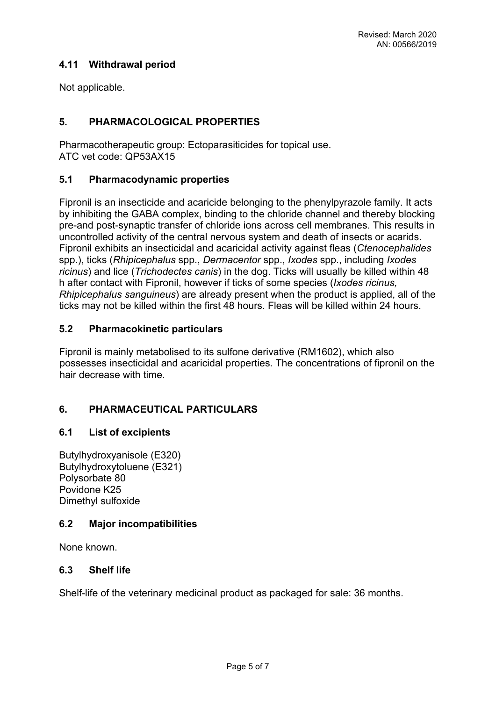## **4.11 Withdrawal period**

Not applicable.

# **5. PHARMACOLOGICAL PROPERTIES**

Pharmacotherapeutic group: Ectoparasiticides for topical use. ATC vet code: QP53AX15

## **5.1 Pharmacodynamic properties**

Fipronil is an insecticide and acaricide belonging to the phenylpyrazole family. It acts by inhibiting the GABA complex, binding to the chloride channel and thereby blocking pre-and post-synaptic transfer of chloride ions across cell membranes. This results in uncontrolled activity of the central nervous system and death of insects or acarids. Fipronil exhibits an insecticidal and acaricidal activity against fleas (*Ctenocephalides* spp.), ticks (*Rhipicephalus* spp., *Dermacentor* spp., *Ixodes* spp., including *Ixodes ricinus*) and lice (*Trichodectes canis*) in the dog. Ticks will usually be killed within 48 h after contact with Fipronil, however if ticks of some species (*Ixodes ricinus, Rhipicephalus sanguineus*) are already present when the product is applied, all of the ticks may not be killed within the first 48 hours. Fleas will be killed within 24 hours.

## **5.2 Pharmacokinetic particulars**

Fipronil is mainly metabolised to its sulfone derivative (RM1602), which also possesses insecticidal and acaricidal properties. The concentrations of fipronil on the hair decrease with time.

## **6. PHARMACEUTICAL PARTICULARS**

## **6.1 List of excipients**

Butylhydroxyanisole (E320) Butylhydroxytoluene (E321) Polysorbate 80 Povidone K25 Dimethyl sulfoxide

## **6.2 Major incompatibilities**

None known.

## **6.3 Shelf life**

Shelf-life of the veterinary medicinal product as packaged for sale: 36 months.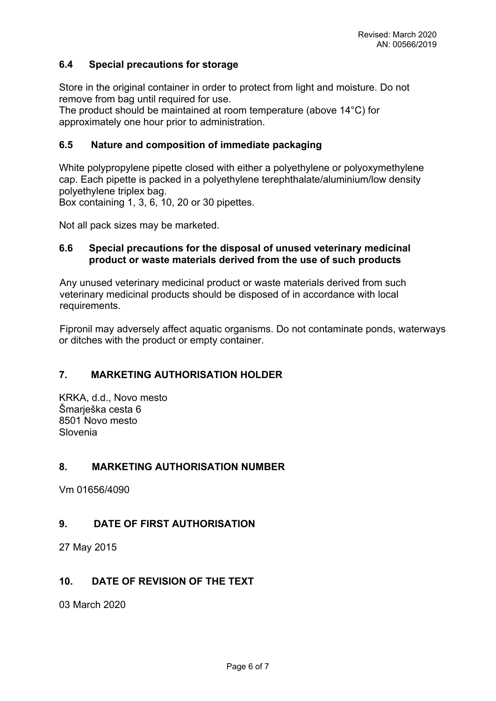# **6.4 Special precautions for storage**

Store in the original container in order to protect from light and moisture. Do not remove from bag until required for use.

The product should be maintained at room temperature (above 14°C) for approximately one hour prior to administration.

## **6.5 Nature and composition of immediate packaging**

White polypropylene pipette closed with either a polyethylene or polyoxymethylene cap. Each pipette is packed in a polyethylene terephthalate/aluminium/low density polyethylene triplex bag.

Box containing 1, 3, 6, 10, 20 or 30 pipettes.

Not all pack sizes may be marketed.

### **6.6 Special precautions for the disposal of unused veterinary medicinal product or waste materials derived from the use of such products**

Any unused veterinary medicinal product or waste materials derived from such veterinary medicinal products should be disposed of in accordance with local requirements.

Fipronil may adversely affect aquatic organisms. Do not contaminate ponds, waterways or ditches with the product or empty container.

# **7. MARKETING AUTHORISATION HOLDER**

KRKA, d.d., Novo mesto Šmarješka cesta 6 8501 Novo mesto Slovenia

## **8. MARKETING AUTHORISATION NUMBER**

Vm 01656/4090

## **9. DATE OF FIRST AUTHORISATION**

27 May 2015

## **10. DATE OF REVISION OF THE TEXT**

03 March 2020